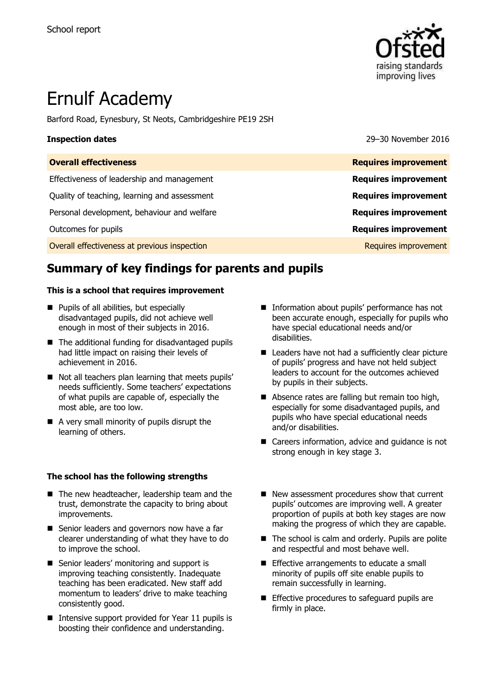

# Ernulf Academy

Barford Road, Eynesbury, St Neots, Cambridgeshire PE19 2SH

**Inspection dates** 29–30 November 2016

| <b>Overall effectiveness</b>                 | <b>Requires improvement</b> |
|----------------------------------------------|-----------------------------|
| Effectiveness of leadership and management   | <b>Requires improvement</b> |
| Quality of teaching, learning and assessment | <b>Requires improvement</b> |
| Personal development, behaviour and welfare  | <b>Requires improvement</b> |
| Outcomes for pupils                          | <b>Requires improvement</b> |
| Overall effectiveness at previous inspection | Requires improvement        |
|                                              |                             |

# **Summary of key findings for parents and pupils**

### **This is a school that requires improvement**

- **Pupils of all abilities, but especially** disadvantaged pupils, did not achieve well enough in most of their subjects in 2016.
- The additional funding for disadvantaged pupils had little impact on raising their levels of achievement in 2016.
- Not all teachers plan learning that meets pupils' needs sufficiently. Some teachers' expectations of what pupils are capable of, especially the most able, are too low.
- A very small minority of pupils disrupt the learning of others.

### **The school has the following strengths**

- The new headteacher, leadership team and the trust, demonstrate the capacity to bring about improvements.
- Senior leaders and governors now have a far clearer understanding of what they have to do to improve the school.
- Senior leaders' monitoring and support is improving teaching consistently. Inadequate teaching has been eradicated. New staff add momentum to leaders' drive to make teaching consistently good.
- Intensive support provided for Year 11 pupils is boosting their confidence and understanding.
- **Information about pupils' performance has not** been accurate enough, especially for pupils who have special educational needs and/or disabilities.
- Leaders have not had a sufficiently clear picture of pupils' progress and have not held subject leaders to account for the outcomes achieved by pupils in their subjects.
- Absence rates are falling but remain too high, especially for some disadvantaged pupils, and pupils who have special educational needs and/or disabilities.
- Careers information, advice and quidance is not strong enough in key stage 3.
- New assessment procedures show that current pupils' outcomes are improving well. A greater proportion of pupils at both key stages are now making the progress of which they are capable.
- The school is calm and orderly. Pupils are polite and respectful and most behave well.
- **Effective arrangements to educate a small** minority of pupils off site enable pupils to remain successfully in learning.
- **Effective procedures to safeguard pupils are** firmly in place.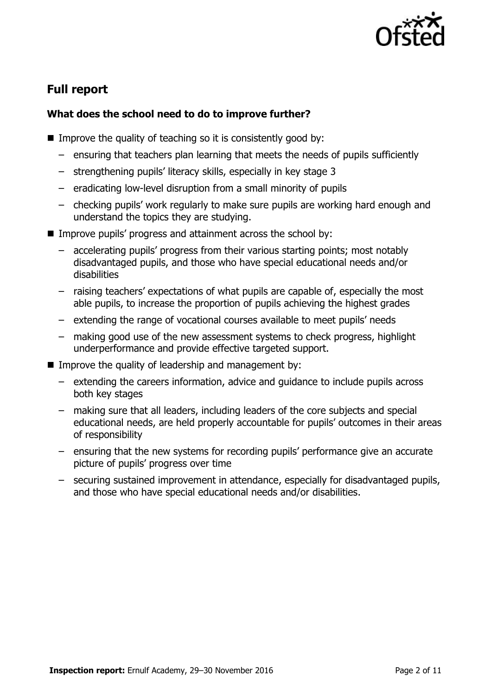

# **Full report**

### **What does the school need to do to improve further?**

- Improve the quality of teaching so it is consistently good by:
	- ensuring that teachers plan learning that meets the needs of pupils sufficiently
	- strengthening pupils' literacy skills, especially in key stage 3
	- eradicating low-level disruption from a small minority of pupils
	- checking pupils' work regularly to make sure pupils are working hard enough and understand the topics they are studying.
- Improve pupils' progress and attainment across the school by:
	- accelerating pupils' progress from their various starting points; most notably disadvantaged pupils, and those who have special educational needs and/or disabilities
	- raising teachers' expectations of what pupils are capable of, especially the most able pupils, to increase the proportion of pupils achieving the highest grades
	- extending the range of vocational courses available to meet pupils' needs
	- making good use of the new assessment systems to check progress, highlight underperformance and provide effective targeted support.
- Improve the quality of leadership and management by:
	- extending the careers information, advice and guidance to include pupils across both key stages
	- making sure that all leaders, including leaders of the core subjects and special educational needs, are held properly accountable for pupils' outcomes in their areas of responsibility
	- ensuring that the new systems for recording pupils' performance give an accurate picture of pupils' progress over time
	- securing sustained improvement in attendance, especially for disadvantaged pupils, and those who have special educational needs and/or disabilities.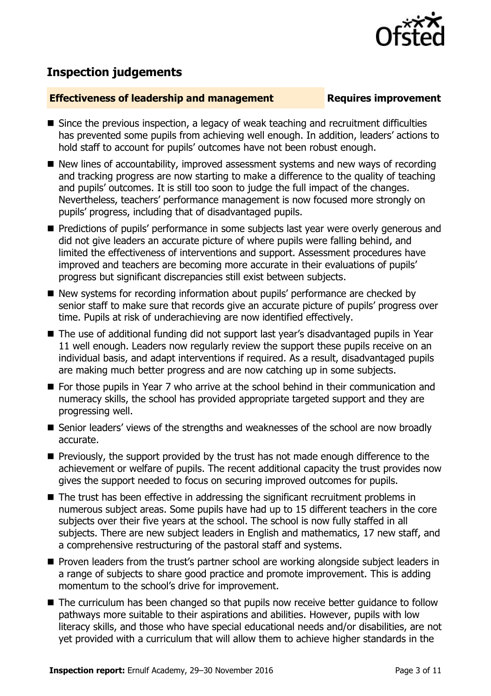

# **Inspection judgements**

### **Effectiveness of leadership and management Requires improvement**

- Since the previous inspection, a legacy of weak teaching and recruitment difficulties has prevented some pupils from achieving well enough. In addition, leaders' actions to hold staff to account for pupils' outcomes have not been robust enough.
- New lines of accountability, improved assessment systems and new ways of recording and tracking progress are now starting to make a difference to the quality of teaching and pupils' outcomes. It is still too soon to judge the full impact of the changes. Nevertheless, teachers' performance management is now focused more strongly on pupils' progress, including that of disadvantaged pupils.
- **Predictions of pupils' performance in some subjects last year were overly generous and** did not give leaders an accurate picture of where pupils were falling behind, and limited the effectiveness of interventions and support. Assessment procedures have improved and teachers are becoming more accurate in their evaluations of pupils' progress but significant discrepancies still exist between subjects.
- New systems for recording information about pupils' performance are checked by senior staff to make sure that records give an accurate picture of pupils' progress over time. Pupils at risk of underachieving are now identified effectively.
- The use of additional funding did not support last year's disadvantaged pupils in Year 11 well enough. Leaders now regularly review the support these pupils receive on an individual basis, and adapt interventions if required. As a result, disadvantaged pupils are making much better progress and are now catching up in some subjects.
- For those pupils in Year 7 who arrive at the school behind in their communication and numeracy skills, the school has provided appropriate targeted support and they are progressing well.
- Senior leaders' views of the strengths and weaknesses of the school are now broadly accurate.
- **Previously, the support provided by the trust has not made enough difference to the** achievement or welfare of pupils. The recent additional capacity the trust provides now gives the support needed to focus on securing improved outcomes for pupils.
- The trust has been effective in addressing the significant recruitment problems in numerous subject areas. Some pupils have had up to 15 different teachers in the core subjects over their five years at the school. The school is now fully staffed in all subjects. There are new subject leaders in English and mathematics, 17 new staff, and a comprehensive restructuring of the pastoral staff and systems.
- **Proven leaders from the trust's partner school are working alongside subject leaders in** a range of subjects to share good practice and promote improvement. This is adding momentum to the school's drive for improvement.
- The curriculum has been changed so that pupils now receive better guidance to follow pathways more suitable to their aspirations and abilities. However, pupils with low literacy skills, and those who have special educational needs and/or disabilities, are not yet provided with a curriculum that will allow them to achieve higher standards in the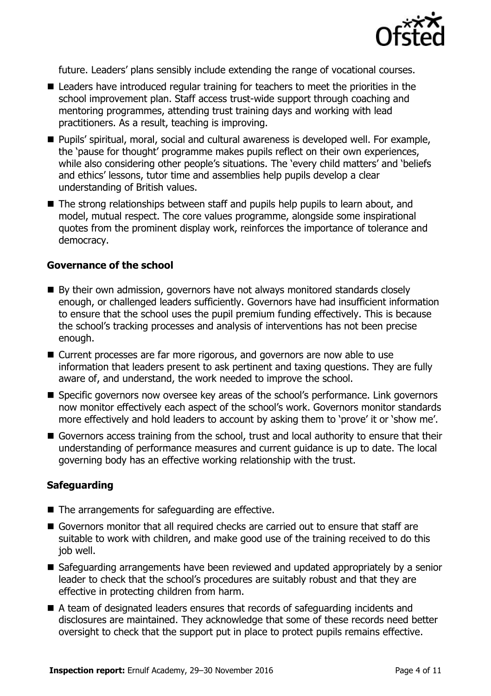

future. Leaders' plans sensibly include extending the range of vocational courses.

- Leaders have introduced regular training for teachers to meet the priorities in the school improvement plan. Staff access trust-wide support through coaching and mentoring programmes, attending trust training days and working with lead practitioners. As a result, teaching is improving.
- Pupils' spiritual, moral, social and cultural awareness is developed well. For example, the 'pause for thought' programme makes pupils reflect on their own experiences, while also considering other people's situations. The 'every child matters' and 'beliefs and ethics' lessons, tutor time and assemblies help pupils develop a clear understanding of British values.
- The strong relationships between staff and pupils help pupils to learn about, and model, mutual respect. The core values programme, alongside some inspirational quotes from the prominent display work, reinforces the importance of tolerance and democracy.

### **Governance of the school**

- By their own admission, governors have not always monitored standards closely enough, or challenged leaders sufficiently. Governors have had insufficient information to ensure that the school uses the pupil premium funding effectively. This is because the school's tracking processes and analysis of interventions has not been precise enough.
- Current processes are far more rigorous, and governors are now able to use information that leaders present to ask pertinent and taxing questions. They are fully aware of, and understand, the work needed to improve the school.
- Specific governors now oversee key areas of the school's performance. Link governors now monitor effectively each aspect of the school's work. Governors monitor standards more effectively and hold leaders to account by asking them to 'prove' it or 'show me'.
- Governors access training from the school, trust and local authority to ensure that their understanding of performance measures and current guidance is up to date. The local governing body has an effective working relationship with the trust.

### **Safeguarding**

- The arrangements for safeguarding are effective.
- Governors monitor that all required checks are carried out to ensure that staff are suitable to work with children, and make good use of the training received to do this job well.
- Safeguarding arrangements have been reviewed and updated appropriately by a senior leader to check that the school's procedures are suitably robust and that they are effective in protecting children from harm.
- A team of designated leaders ensures that records of safeguarding incidents and disclosures are maintained. They acknowledge that some of these records need better oversight to check that the support put in place to protect pupils remains effective.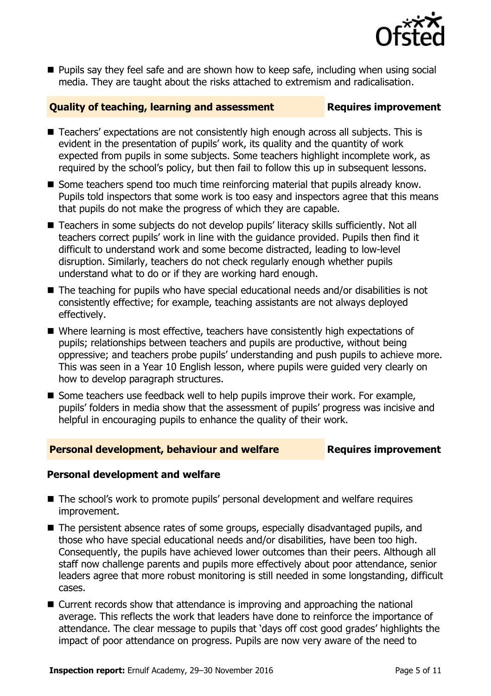

**Pupils say they feel safe and are shown how to keep safe, including when using social** media. They are taught about the risks attached to extremism and radicalisation.

### **Quality of teaching, learning and assessment Requires improvement**

- Teachers' expectations are not consistently high enough across all subjects. This is evident in the presentation of pupils' work, its quality and the quantity of work expected from pupils in some subjects. Some teachers highlight incomplete work, as required by the school's policy, but then fail to follow this up in subsequent lessons.
- $\blacksquare$  Some teachers spend too much time reinforcing material that pupils already know. Pupils told inspectors that some work is too easy and inspectors agree that this means that pupils do not make the progress of which they are capable.
- Teachers in some subjects do not develop pupils' literacy skills sufficiently. Not all teachers correct pupils' work in line with the guidance provided. Pupils then find it difficult to understand work and some become distracted, leading to low-level disruption. Similarly, teachers do not check regularly enough whether pupils understand what to do or if they are working hard enough.
- The teaching for pupils who have special educational needs and/or disabilities is not consistently effective; for example, teaching assistants are not always deployed effectively.
- Where learning is most effective, teachers have consistently high expectations of pupils; relationships between teachers and pupils are productive, without being oppressive; and teachers probe pupils' understanding and push pupils to achieve more. This was seen in a Year 10 English lesson, where pupils were guided very clearly on how to develop paragraph structures.
- $\blacksquare$  Some teachers use feedback well to help pupils improve their work. For example, pupils' folders in media show that the assessment of pupils' progress was incisive and helpful in encouraging pupils to enhance the quality of their work.

### **Personal development, behaviour and welfare Fig. 2.1 Requires improvement**

### **Personal development and welfare**

- The school's work to promote pupils' personal development and welfare requires improvement.
- The persistent absence rates of some groups, especially disadvantaged pupils, and those who have special educational needs and/or disabilities, have been too high. Consequently, the pupils have achieved lower outcomes than their peers. Although all staff now challenge parents and pupils more effectively about poor attendance, senior leaders agree that more robust monitoring is still needed in some longstanding, difficult cases.
- Current records show that attendance is improving and approaching the national average. This reflects the work that leaders have done to reinforce the importance of attendance. The clear message to pupils that 'days off cost good grades' highlights the impact of poor attendance on progress. Pupils are now very aware of the need to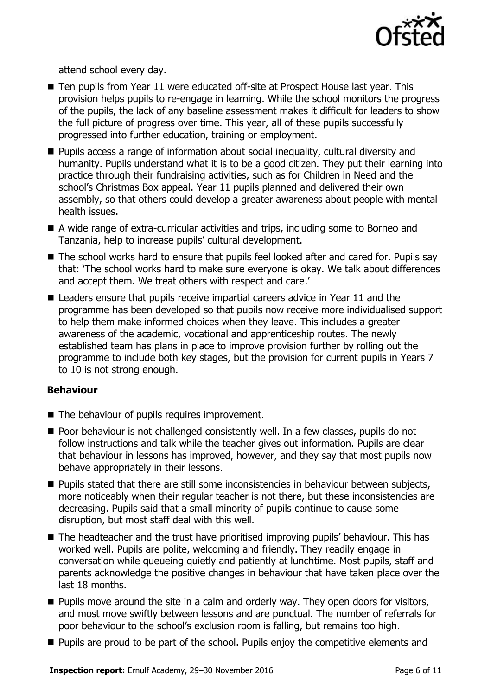

attend school every day.

- Ten pupils from Year 11 were educated off-site at Prospect House last year. This provision helps pupils to re-engage in learning. While the school monitors the progress of the pupils, the lack of any baseline assessment makes it difficult for leaders to show the full picture of progress over time. This year, all of these pupils successfully progressed into further education, training or employment.
- Pupils access a range of information about social inequality, cultural diversity and humanity. Pupils understand what it is to be a good citizen. They put their learning into practice through their fundraising activities, such as for Children in Need and the school's Christmas Box appeal. Year 11 pupils planned and delivered their own assembly, so that others could develop a greater awareness about people with mental health issues.
- A wide range of extra-curricular activities and trips, including some to Borneo and Tanzania, help to increase pupils' cultural development.
- The school works hard to ensure that pupils feel looked after and cared for. Pupils say that: 'The school works hard to make sure everyone is okay. We talk about differences and accept them. We treat others with respect and care.'
- Leaders ensure that pupils receive impartial careers advice in Year 11 and the programme has been developed so that pupils now receive more individualised support to help them make informed choices when they leave. This includes a greater awareness of the academic, vocational and apprenticeship routes. The newly established team has plans in place to improve provision further by rolling out the programme to include both key stages, but the provision for current pupils in Years 7 to 10 is not strong enough.

### **Behaviour**

- The behaviour of pupils requires improvement.
- **Poor behaviour is not challenged consistently well. In a few classes, pupils do not** follow instructions and talk while the teacher gives out information. Pupils are clear that behaviour in lessons has improved, however, and they say that most pupils now behave appropriately in their lessons.
- **Pupils stated that there are still some inconsistencies in behaviour between subjects,** more noticeably when their regular teacher is not there, but these inconsistencies are decreasing. Pupils said that a small minority of pupils continue to cause some disruption, but most staff deal with this well.
- The headteacher and the trust have prioritised improving pupils' behaviour. This has worked well. Pupils are polite, welcoming and friendly. They readily engage in conversation while queueing quietly and patiently at lunchtime. Most pupils, staff and parents acknowledge the positive changes in behaviour that have taken place over the last 18 months.
- $\blacksquare$  Pupils move around the site in a calm and orderly way. They open doors for visitors, and most move swiftly between lessons and are punctual. The number of referrals for poor behaviour to the school's exclusion room is falling, but remains too high.
- **Pupils are proud to be part of the school. Pupils enjoy the competitive elements and**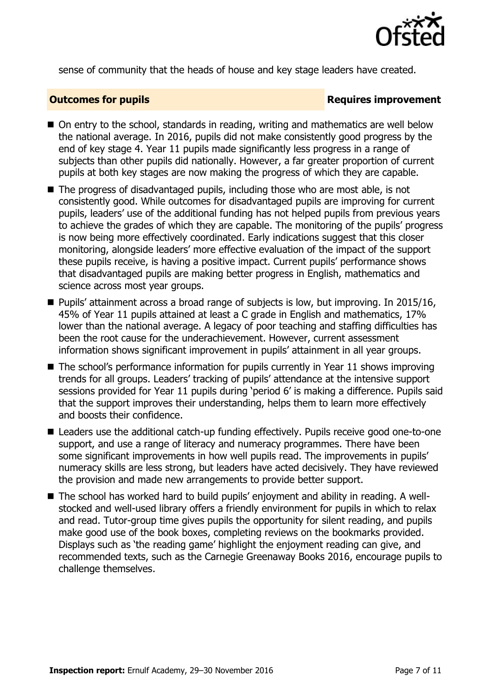

sense of community that the heads of house and key stage leaders have created.

### **Outcomes for pupils Requires improvement**

- On entry to the school, standards in reading, writing and mathematics are well below the national average. In 2016, pupils did not make consistently good progress by the end of key stage 4. Year 11 pupils made significantly less progress in a range of subjects than other pupils did nationally. However, a far greater proportion of current pupils at both key stages are now making the progress of which they are capable.
- The progress of disadvantaged pupils, including those who are most able, is not consistently good. While outcomes for disadvantaged pupils are improving for current pupils, leaders' use of the additional funding has not helped pupils from previous years to achieve the grades of which they are capable. The monitoring of the pupils' progress is now being more effectively coordinated. Early indications suggest that this closer monitoring, alongside leaders' more effective evaluation of the impact of the support these pupils receive, is having a positive impact. Current pupils' performance shows that disadvantaged pupils are making better progress in English, mathematics and science across most year groups.
- Pupils' attainment across a broad range of subjects is low, but improving. In 2015/16, 45% of Year 11 pupils attained at least a C grade in English and mathematics, 17% lower than the national average. A legacy of poor teaching and staffing difficulties has been the root cause for the underachievement. However, current assessment information shows significant improvement in pupils' attainment in all year groups.
- The school's performance information for pupils currently in Year 11 shows improving trends for all groups. Leaders' tracking of pupils' attendance at the intensive support sessions provided for Year 11 pupils during 'period 6' is making a difference. Pupils said that the support improves their understanding, helps them to learn more effectively and boosts their confidence.
- Leaders use the additional catch-up funding effectively. Pupils receive good one-to-one support, and use a range of literacy and numeracy programmes. There have been some significant improvements in how well pupils read. The improvements in pupils' numeracy skills are less strong, but leaders have acted decisively. They have reviewed the provision and made new arrangements to provide better support.
- The school has worked hard to build pupils' enjoyment and ability in reading. A wellstocked and well-used library offers a friendly environment for pupils in which to relax and read. Tutor-group time gives pupils the opportunity for silent reading, and pupils make good use of the book boxes, completing reviews on the bookmarks provided. Displays such as 'the reading game' highlight the enjoyment reading can give, and recommended texts, such as the Carnegie Greenaway Books 2016, encourage pupils to challenge themselves.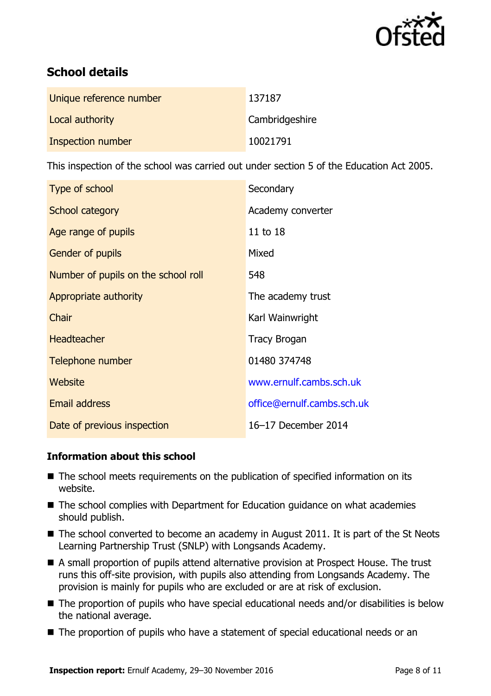

# **School details**

| Unique reference number | 137187         |
|-------------------------|----------------|
| Local authority         | Cambridgeshire |
| Inspection number       | 10021791       |

This inspection of the school was carried out under section 5 of the Education Act 2005.

| Type of school                      | Secondary                  |
|-------------------------------------|----------------------------|
| School category                     | Academy converter          |
| Age range of pupils                 | 11 to 18                   |
| Gender of pupils                    | Mixed                      |
| Number of pupils on the school roll | 548                        |
| Appropriate authority               | The academy trust          |
| Chair                               | Karl Wainwright            |
| <b>Headteacher</b>                  | <b>Tracy Brogan</b>        |
| Telephone number                    | 01480 374748               |
| Website                             | www.ernulf.cambs.sch.uk    |
| <b>Email address</b>                | office@ernulf.cambs.sch.uk |
| Date of previous inspection         | 16-17 December 2014        |

### **Information about this school**

- The school meets requirements on the publication of specified information on its website.
- The school complies with Department for Education guidance on what academies should publish.
- The school converted to become an academy in August 2011. It is part of the St Neots Learning Partnership Trust (SNLP) with Longsands Academy.
- A small proportion of pupils attend alternative provision at Prospect House. The trust runs this off-site provision, with pupils also attending from Longsands Academy. The provision is mainly for pupils who are excluded or are at risk of exclusion.
- The proportion of pupils who have special educational needs and/or disabilities is below the national average.
- The proportion of pupils who have a statement of special educational needs or an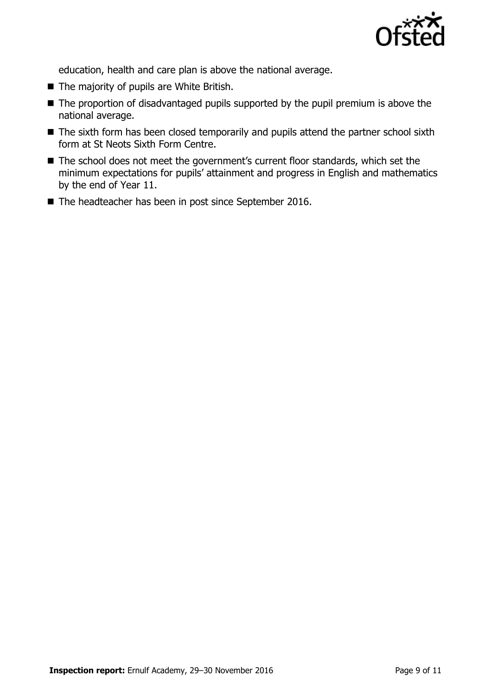

education, health and care plan is above the national average.

- The majority of pupils are White British.
- The proportion of disadvantaged pupils supported by the pupil premium is above the national average.
- The sixth form has been closed temporarily and pupils attend the partner school sixth form at St Neots Sixth Form Centre.
- The school does not meet the government's current floor standards, which set the minimum expectations for pupils' attainment and progress in English and mathematics by the end of Year 11.
- The headteacher has been in post since September 2016.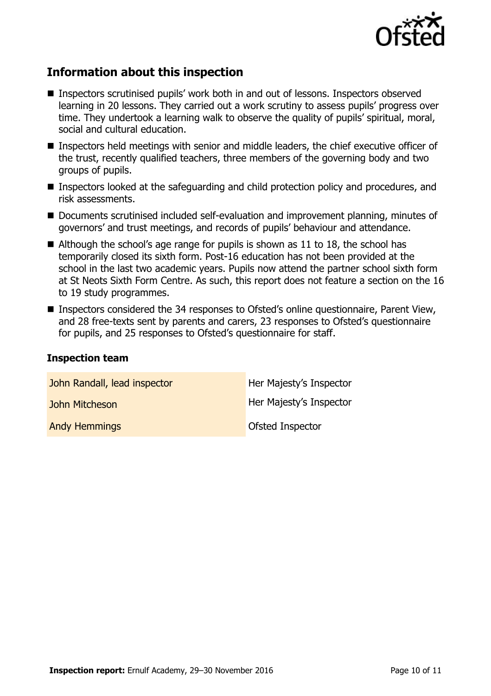

# **Information about this inspection**

- Inspectors scrutinised pupils' work both in and out of lessons. Inspectors observed learning in 20 lessons. They carried out a work scrutiny to assess pupils' progress over time. They undertook a learning walk to observe the quality of pupils' spiritual, moral, social and cultural education.
- Inspectors held meetings with senior and middle leaders, the chief executive officer of the trust, recently qualified teachers, three members of the governing body and two groups of pupils.
- Inspectors looked at the safeguarding and child protection policy and procedures, and risk assessments.
- Documents scrutinised included self-evaluation and improvement planning, minutes of governors' and trust meetings, and records of pupils' behaviour and attendance.
- Although the school's age range for pupils is shown as 11 to 18, the school has temporarily closed its sixth form. Post-16 education has not been provided at the school in the last two academic years. Pupils now attend the partner school sixth form at St Neots Sixth Form Centre. As such, this report does not feature a section on the 16 to 19 study programmes.
- Inspectors considered the 34 responses to Ofsted's online questionnaire, Parent View, and 28 free-texts sent by parents and carers, 23 responses to Ofsted's questionnaire for pupils, and 25 responses to Ofsted's questionnaire for staff.

### **Inspection team**

| John Randall, lead inspector | Her Majesty's Inspector |
|------------------------------|-------------------------|
| John Mitcheson               | Her Majesty's Inspector |
| <b>Andy Hemmings</b>         | Ofsted Inspector        |